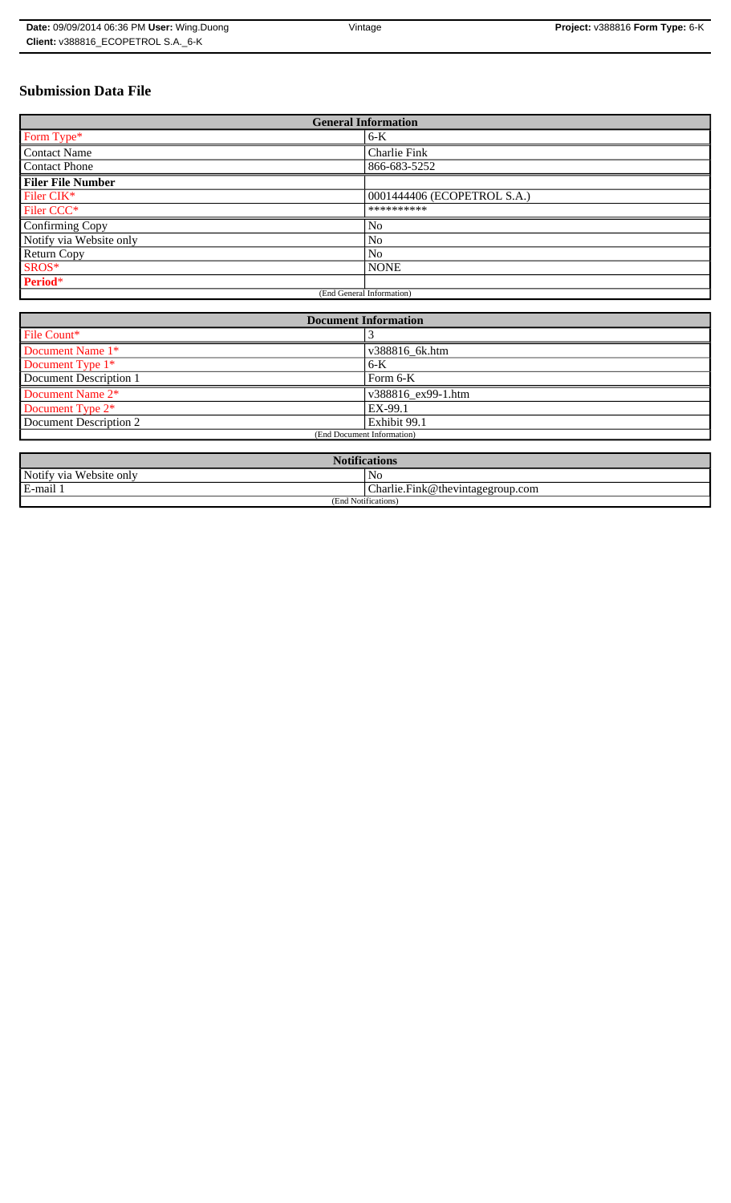| Date: 09/09/2014 06:36 PM User: Wing.Duong | Vintage | Project: v388816 Form Type: 6-K |
|--------------------------------------------|---------|---------------------------------|
| Client: v388816 ECOPETROL S.A. 6-K         |         |                                 |

# **Submission Data File**

| <b>General Information</b> |                             |  |
|----------------------------|-----------------------------|--|
| Form Type*                 | $6-K$                       |  |
| <b>Contact Name</b>        | <b>Charlie Fink</b>         |  |
| <b>Contact Phone</b>       | 866-683-5252                |  |
| <b>Filer File Number</b>   |                             |  |
| Filer CIK*                 | 0001444406 (ECOPETROL S.A.) |  |
| Filer CCC*                 | **********                  |  |
| Confirming Copy            | N <sub>o</sub>              |  |
| Notify via Website only    | N <sub>0</sub>              |  |
| <b>Return Copy</b>         | N <sub>o</sub>              |  |
| SROS*                      | <b>NONE</b>                 |  |
| Period*                    |                             |  |
| (End General Information)  |                             |  |

| <b>Document Information</b>  |                    |
|------------------------------|--------------------|
| File Count*                  |                    |
| Document Name 1*             | v388816_6k.htm     |
| Document Type 1 <sup>*</sup> | $6-K$              |
| Document Description 1       | Form $6-K$         |
| Document Name 2*             | v388816 ex99-1.htm |
| Document Type 2*             | EX-99.1            |
| Document Description 2       | Exhibit 99.1       |
| (End Document Information)   |                    |
|                              |                    |

| <b>Notifications</b>         |                                              |  |
|------------------------------|----------------------------------------------|--|
| Notify via<br>u Website only | No                                           |  |
| E-mail                       | $ {\rm Charlie.Fink@}$ the vintage group.com |  |
| (End Notifications)          |                                              |  |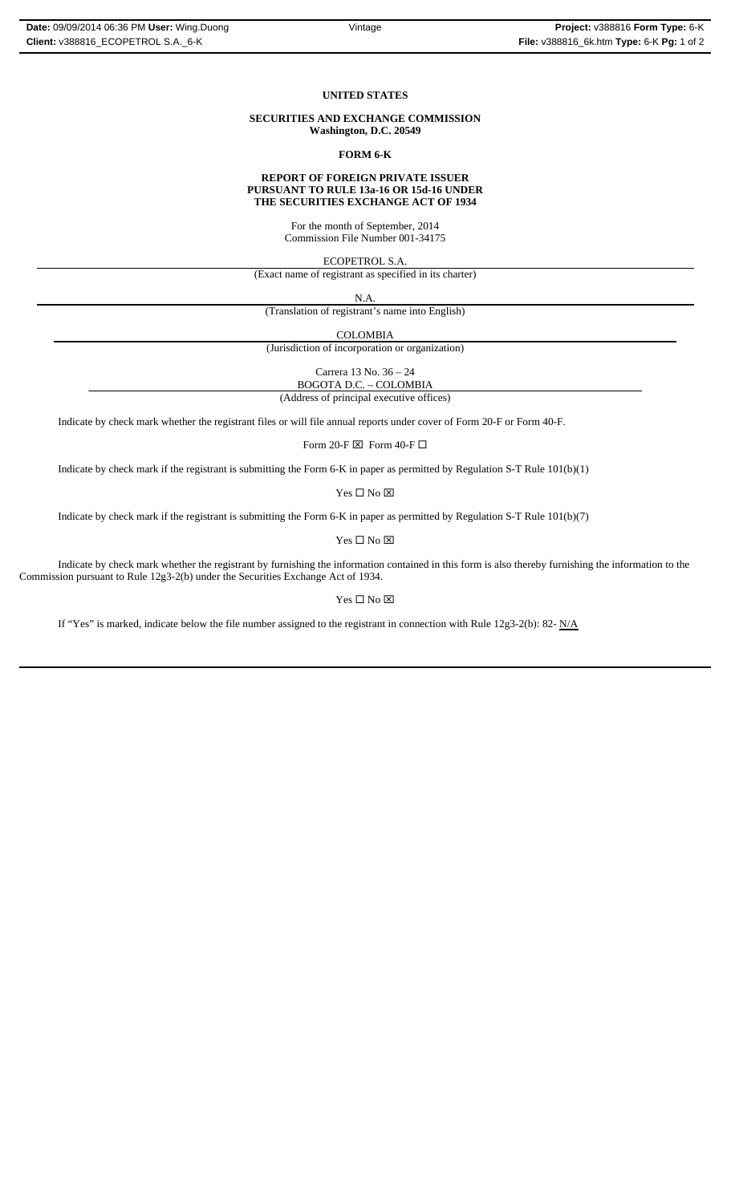## **UNITED STATES**

### **SECURITIES AND EXCHANGE COMMISSION Washington, D.C. 20549**

### **FORM 6-K**

## **REPORT OF FOREIGN PRIVATE ISSUER PURSUANT TO RULE 13a-16 OR 15d-16 UNDER THE SECURITIES EXCHANGE ACT OF 1934**

For the month of September, 2014 Commission File Number 001-34175

ECOPETROL S.A.

(Exact name of registrant as specified in its charter)

N.A. (Translation of registrant's name into English)

COLOMBIA

(Jurisdiction of incorporation or organization)

Carrera 13 No. 36 – 24 BOGOTA D.C. – COLOMBIA

(Address of principal executive offices)

Indicate by check mark whether the registrant files or will file annual reports under cover of Form 20-F or Form 40-F.

Form 20-F  $\boxtimes\,$  Form 40-F  $\Box\,$ 

Indicate by check mark if the registrant is submitting the Form 6-K in paper as permitted by Regulation S-T Rule 101(b)(1)

Yes $\square$  No  $\square$ 

Indicate by check mark if the registrant is submitting the Form 6-K in paper as permitted by Regulation S-T Rule 101(b)(7)

Yes $\square$  No  $\square$ 

Indicate by check mark whether the registrant by furnishing the information contained in this form is also thereby furnishing the information to the Commission pursuant to Rule 12g3-2(b) under the Securities Exchange Act of 1934.

# $Yes \Box No \boxtimes$

If "Yes" is marked, indicate below the file number assigned to the registrant in connection with Rule 12g3-2(b): 82-  $N/A$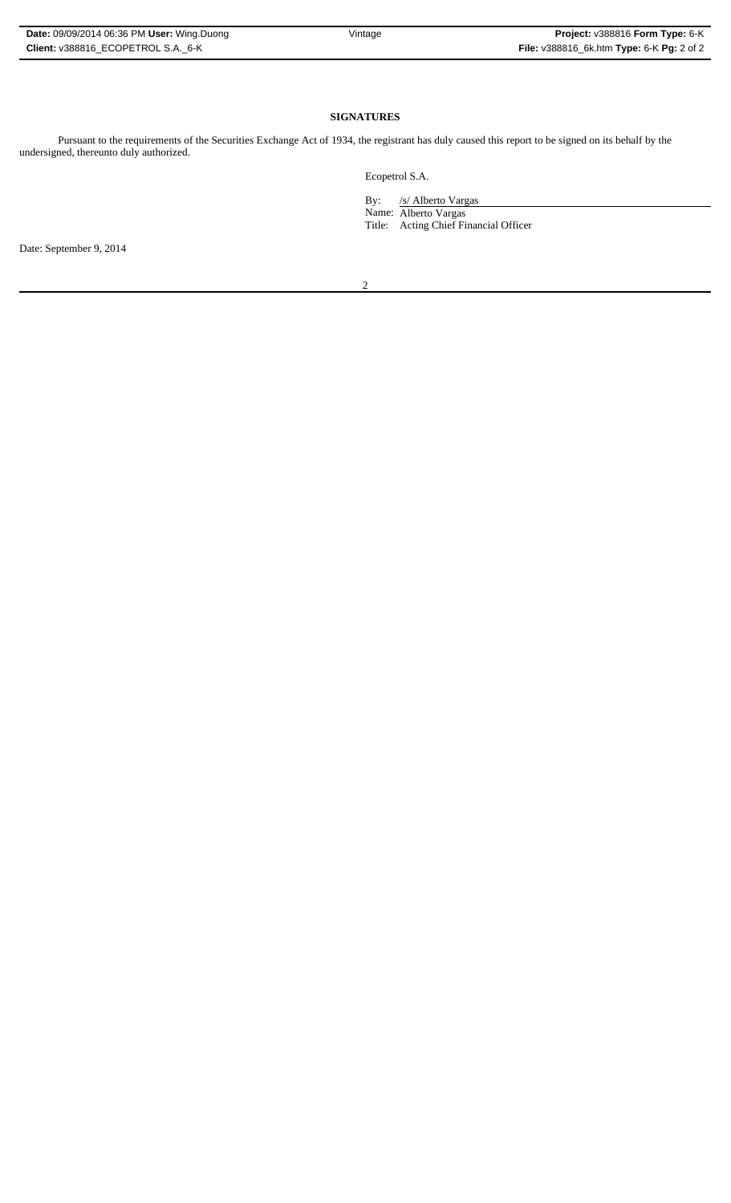| <b>Date: 09/09/2014 06:36 PM User: Wing.Duong</b> |
|---------------------------------------------------|
| Client: v388816 ECOPETROL S.A. 6-K                |

# **SIGNATURES**

Pursuant to the requirements of the Securities Exchange Act of 1934, the registrant has duly caused this report to be signed on its behalf by the undersigned, thereunto duly authorized.

Ecopetrol S.A.

 By: /s/ Alberto Vargas Name: Alberto Vargas Title: Acting Chief Financial Officer

Date: September 9, 2014

2